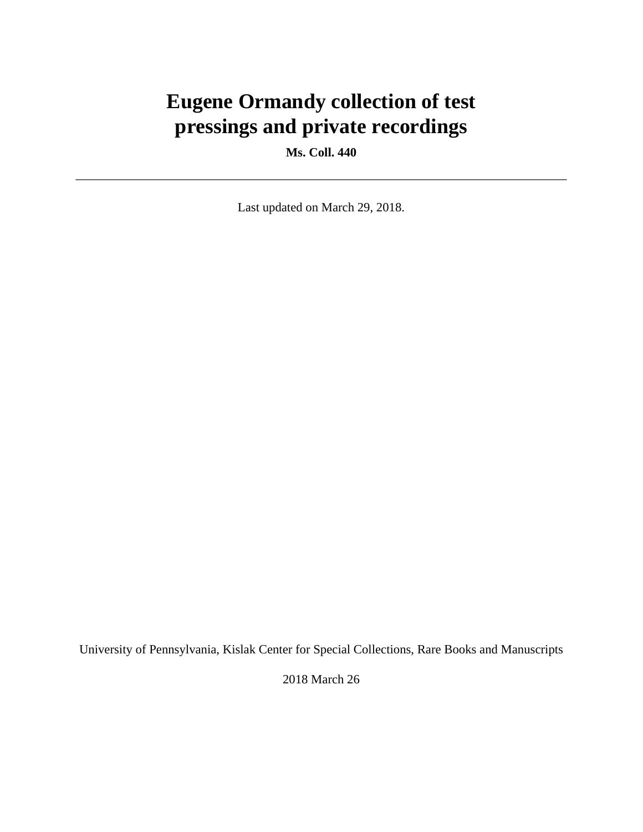# **Eugene Ormandy collection of test pressings and private recordings**

**Ms. Coll. 440**

Last updated on March 29, 2018.

University of Pennsylvania, Kislak Center for Special Collections, Rare Books and Manuscripts

2018 March 26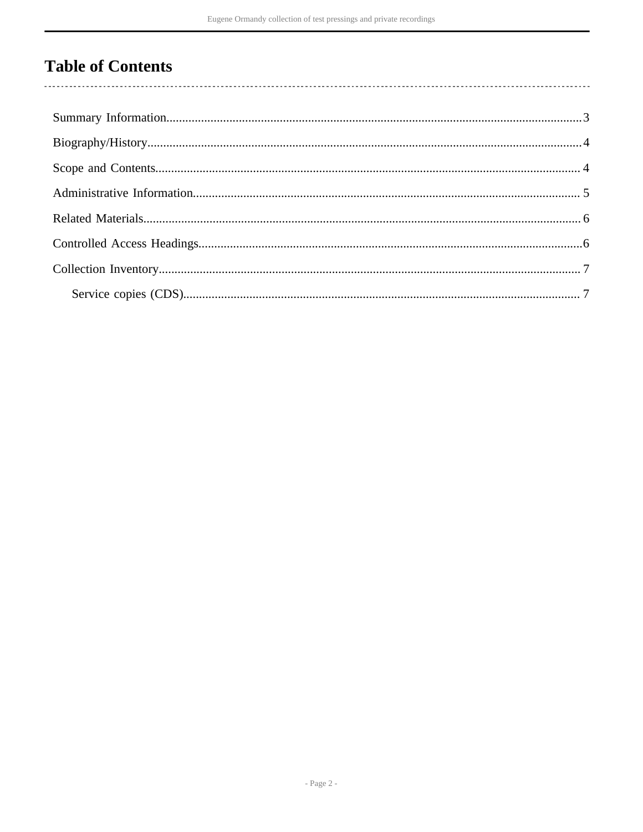## **Table of Contents**

 $\overline{\phantom{a}}$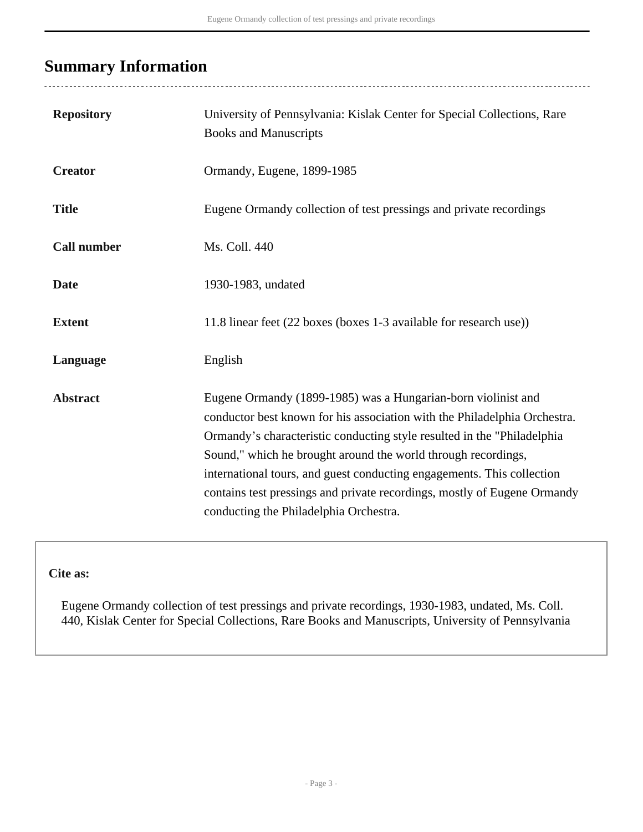### <span id="page-2-0"></span>**Summary Information**

| <b>Repository</b>  | University of Pennsylvania: Kislak Center for Special Collections, Rare<br><b>Books and Manuscripts</b>                                                                                                                                                                                                                                                                                                                                                                                |
|--------------------|----------------------------------------------------------------------------------------------------------------------------------------------------------------------------------------------------------------------------------------------------------------------------------------------------------------------------------------------------------------------------------------------------------------------------------------------------------------------------------------|
| <b>Creator</b>     | Ormandy, Eugene, 1899-1985                                                                                                                                                                                                                                                                                                                                                                                                                                                             |
| <b>Title</b>       | Eugene Ormandy collection of test pressings and private recordings                                                                                                                                                                                                                                                                                                                                                                                                                     |
| <b>Call number</b> | Ms. Coll. 440                                                                                                                                                                                                                                                                                                                                                                                                                                                                          |
| <b>Date</b>        | 1930-1983, undated                                                                                                                                                                                                                                                                                                                                                                                                                                                                     |
| <b>Extent</b>      | 11.8 linear feet (22 boxes (boxes 1-3 available for research use))                                                                                                                                                                                                                                                                                                                                                                                                                     |
| Language           | English                                                                                                                                                                                                                                                                                                                                                                                                                                                                                |
| <b>Abstract</b>    | Eugene Ormandy (1899-1985) was a Hungarian-born violinist and<br>conductor best known for his association with the Philadelphia Orchestra.<br>Ormandy's characteristic conducting style resulted in the "Philadelphia<br>Sound," which he brought around the world through recordings,<br>international tours, and guest conducting engagements. This collection<br>contains test pressings and private recordings, mostly of Eugene Ormandy<br>conducting the Philadelphia Orchestra. |

**Cite as:**

Eugene Ormandy collection of test pressings and private recordings, 1930-1983, undated, Ms. Coll. 440, Kislak Center for Special Collections, Rare Books and Manuscripts, University of Pennsylvania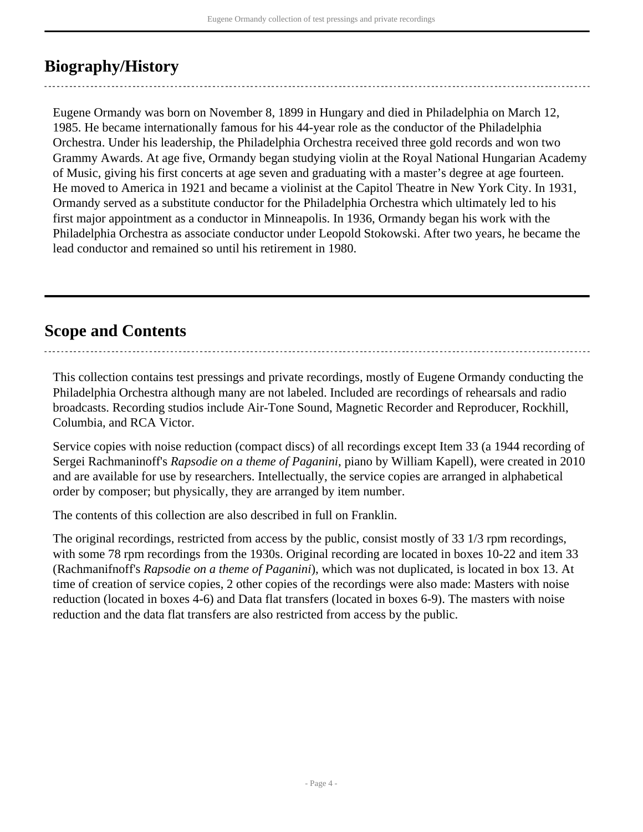### <span id="page-3-0"></span>**Biography/History**

Eugene Ormandy was born on November 8, 1899 in Hungary and died in Philadelphia on March 12, 1985. He became internationally famous for his 44-year role as the conductor of the Philadelphia Orchestra. Under his leadership, the Philadelphia Orchestra received three gold records and won two Grammy Awards. At age five, Ormandy began studying violin at the Royal National Hungarian Academy of Music, giving his first concerts at age seven and graduating with a master's degree at age fourteen. He moved to America in 1921 and became a violinist at the Capitol Theatre in New York City. In 1931, Ormandy served as a substitute conductor for the Philadelphia Orchestra which ultimately led to his first major appointment as a conductor in Minneapolis. In 1936, Ormandy began his work with the Philadelphia Orchestra as associate conductor under Leopold Stokowski. After two years, he became the lead conductor and remained so until his retirement in 1980.

### <span id="page-3-1"></span>**Scope and Contents**

This collection contains test pressings and private recordings, mostly of Eugene Ormandy conducting the Philadelphia Orchestra although many are not labeled. Included are recordings of rehearsals and radio broadcasts. Recording studios include Air-Tone Sound, Magnetic Recorder and Reproducer, Rockhill, Columbia, and RCA Victor.

Service copies with noise reduction (compact discs) of all recordings except Item 33 (a 1944 recording of Sergei Rachmaninoff's *Rapsodie on a theme of Paganini*, piano by William Kapell), were created in 2010 and are available for use by researchers. Intellectually, the service copies are arranged in alphabetical order by composer; but physically, they are arranged by item number.

The contents of this collection are also described in full on Franklin.

The original recordings, restricted from access by the public, consist mostly of 33 1/3 rpm recordings, with some 78 rpm recordings from the 1930s. Original recording are located in boxes 10-22 and item 33 (Rachmanifnoff's *Rapsodie on a theme of Paganini*), which was not duplicated, is located in box 13. At time of creation of service copies, 2 other copies of the recordings were also made: Masters with noise reduction (located in boxes 4-6) and Data flat transfers (located in boxes 6-9). The masters with noise reduction and the data flat transfers are also restricted from access by the public.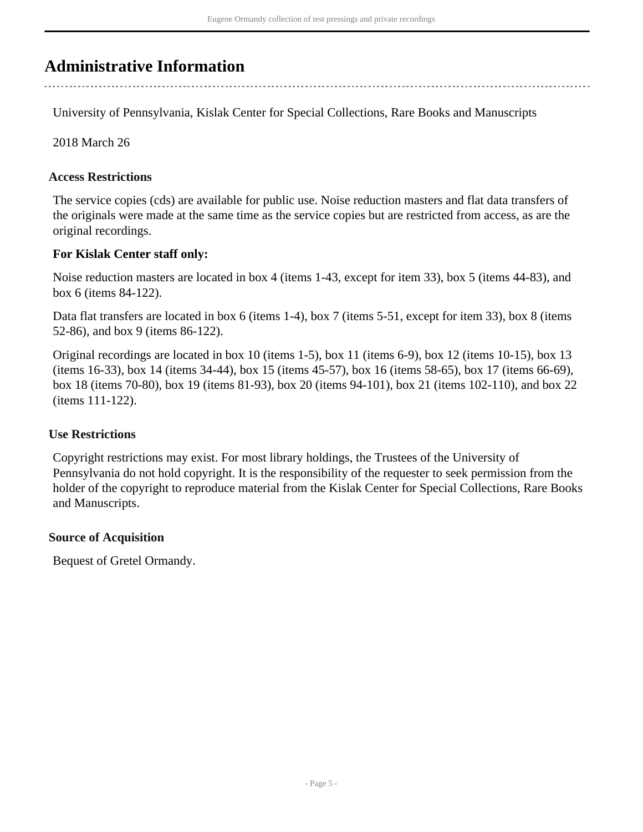### <span id="page-4-0"></span>**Administrative Information**

University of Pennsylvania, Kislak Center for Special Collections, Rare Books and Manuscripts

2018 March 26

#### **Access Restrictions**

The service copies (cds) are available for public use. Noise reduction masters and flat data transfers of the originals were made at the same time as the service copies but are restricted from access, as are the original recordings.

#### **For Kislak Center staff only:**

Noise reduction masters are located in box 4 (items 1-43, except for item 33), box 5 (items 44-83), and box 6 (items 84-122).

Data flat transfers are located in box 6 (items 1-4), box 7 (items 5-51, except for item 33), box 8 (items 52-86), and box 9 (items 86-122).

Original recordings are located in box 10 (items 1-5), box 11 (items 6-9), box 12 (items 10-15), box 13 (items 16-33), box 14 (items 34-44), box 15 (items 45-57), box 16 (items 58-65), box 17 (items 66-69), box 18 (items 70-80), box 19 (items 81-93), box 20 (items 94-101), box 21 (items 102-110), and box 22 (items 111-122).

#### **Use Restrictions**

Copyright restrictions may exist. For most library holdings, the Trustees of the University of Pennsylvania do not hold copyright. It is the responsibility of the requester to seek permission from the holder of the copyright to reproduce material from the Kislak Center for Special Collections, Rare Books and Manuscripts.

#### **Source of Acquisition**

Bequest of Gretel Ormandy.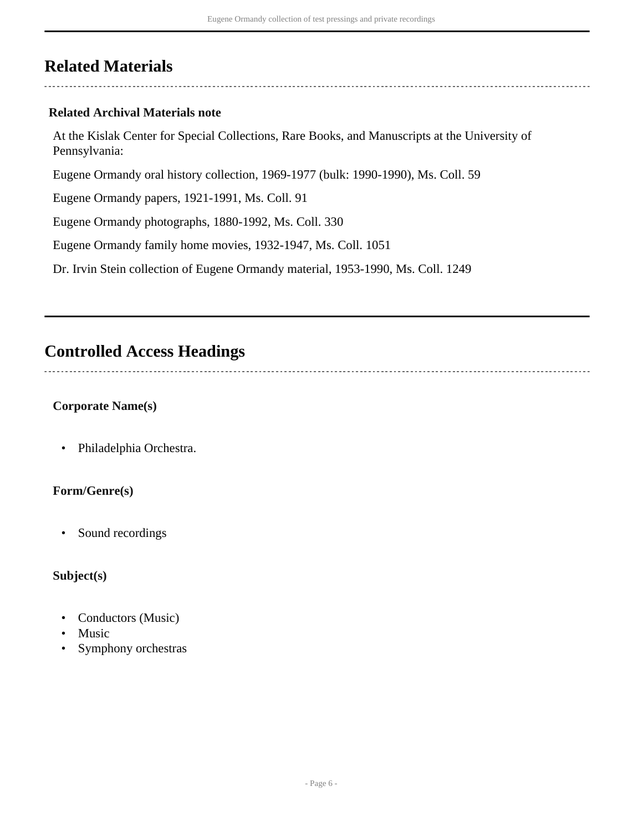### <span id="page-5-0"></span>**Related Materials**

#### **Related Archival Materials note**

At the Kislak Center for Special Collections, Rare Books, and Manuscripts at the University of Pennsylvania:

Eugene Ormandy oral history collection, 1969-1977 (bulk: 1990-1990), Ms. Coll. 59

Eugene Ormandy papers, 1921-1991, Ms. Coll. 91

Eugene Ormandy photographs, 1880-1992, Ms. Coll. 330

Eugene Ormandy family home movies, 1932-1947, Ms. Coll. 1051

Dr. Irvin Stein collection of Eugene Ormandy material, 1953-1990, Ms. Coll. 1249

### <span id="page-5-1"></span>**Controlled Access Headings**

#### **Corporate Name(s)**

• Philadelphia Orchestra.

#### **Form/Genre(s)**

• Sound recordings

#### **Subject(s)**

- Conductors (Music)
- **Music**
- Symphony orchestras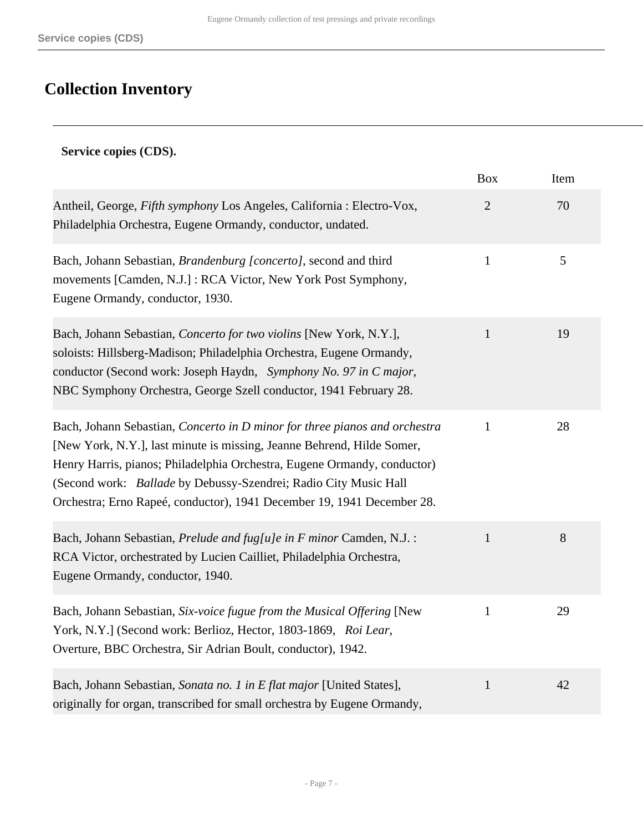# <span id="page-6-0"></span>**Collection Inventory**

#### <span id="page-6-1"></span>**Service copies (CDS).**

|                                                                                                                                                                                                                                                                                                                                                                                | <b>Box</b>     | Item |
|--------------------------------------------------------------------------------------------------------------------------------------------------------------------------------------------------------------------------------------------------------------------------------------------------------------------------------------------------------------------------------|----------------|------|
| Antheil, George, Fifth symphony Los Angeles, California : Electro-Vox,<br>Philadelphia Orchestra, Eugene Ormandy, conductor, undated.                                                                                                                                                                                                                                          | $\overline{2}$ | 70   |
| Bach, Johann Sebastian, Brandenburg [concerto], second and third<br>movements [Camden, N.J.]: RCA Victor, New York Post Symphony,<br>Eugene Ormandy, conductor, 1930.                                                                                                                                                                                                          | $\mathbf{1}$   | 5    |
| Bach, Johann Sebastian, Concerto for two violins [New York, N.Y.],<br>soloists: Hillsberg-Madison; Philadelphia Orchestra, Eugene Ormandy,<br>conductor (Second work: Joseph Haydn, Symphony No. 97 in C major,<br>NBC Symphony Orchestra, George Szell conductor, 1941 February 28.                                                                                           | $\mathbf{1}$   | 19   |
| Bach, Johann Sebastian, Concerto in D minor for three pianos and orchestra<br>[New York, N.Y.], last minute is missing, Jeanne Behrend, Hilde Somer,<br>Henry Harris, pianos; Philadelphia Orchestra, Eugene Ormandy, conductor)<br>(Second work: Ballade by Debussy-Szendrei; Radio City Music Hall<br>Orchestra; Erno Rapeé, conductor), 1941 December 19, 1941 December 28. | $\mathbf{1}$   | 28   |
| Bach, Johann Sebastian, Prelude and fug[u]e in F minor Camden, N.J. :<br>RCA Victor, orchestrated by Lucien Cailliet, Philadelphia Orchestra,<br>Eugene Ormandy, conductor, 1940.                                                                                                                                                                                              | $\mathbf{1}$   | 8    |
| Bach, Johann Sebastian, Six-voice fugue from the Musical Offering [New<br>York, N.Y.] (Second work: Berlioz, Hector, 1803-1869, Roi Lear,<br>Overture, BBC Orchestra, Sir Adrian Boult, conductor), 1942.                                                                                                                                                                      | $\mathbf{1}$   | 29   |
| Bach, Johann Sebastian, Sonata no. 1 in E flat major [United States],<br>originally for organ, transcribed for small orchestra by Eugene Ormandy,                                                                                                                                                                                                                              | $\mathbf{1}$   | 42   |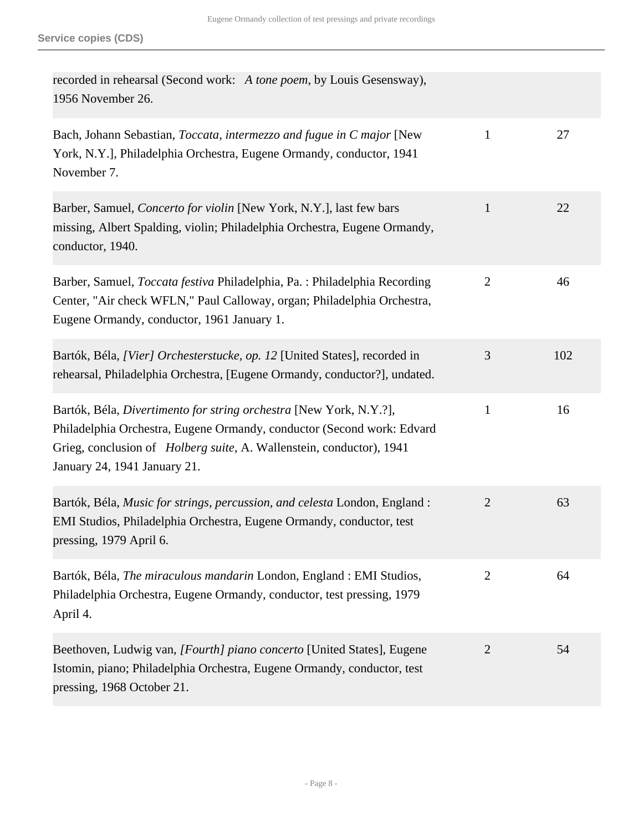| recorded in rehearsal (Second work: A tone poem, by Louis Gesensway),<br>1956 November 26.                                                                                                                                                                   |                |     |
|--------------------------------------------------------------------------------------------------------------------------------------------------------------------------------------------------------------------------------------------------------------|----------------|-----|
| Bach, Johann Sebastian, Toccata, intermezzo and fugue in C major [New<br>York, N.Y.], Philadelphia Orchestra, Eugene Ormandy, conductor, 1941<br>November 7.                                                                                                 | $\mathbf{1}$   | 27  |
| Barber, Samuel, Concerto for violin [New York, N.Y.], last few bars<br>missing, Albert Spalding, violin; Philadelphia Orchestra, Eugene Ormandy,<br>conductor, 1940.                                                                                         | $\mathbf{1}$   | 22  |
| Barber, Samuel, Toccata festiva Philadelphia, Pa. : Philadelphia Recording<br>Center, "Air check WFLN," Paul Calloway, organ; Philadelphia Orchestra,<br>Eugene Ormandy, conductor, 1961 January 1.                                                          | $\overline{2}$ | 46  |
| Bartók, Béla, [Vier] Orchesterstucke, op. 12 [United States], recorded in<br>rehearsal, Philadelphia Orchestra, [Eugene Ormandy, conductor?], undated.                                                                                                       | 3              | 102 |
| Bartók, Béla, Divertimento for string orchestra [New York, N.Y.?],<br>Philadelphia Orchestra, Eugene Ormandy, conductor (Second work: Edvard<br>Grieg, conclusion of <i>Holberg suite</i> , A. Wallenstein, conductor), 1941<br>January 24, 1941 January 21. | $\mathbf{1}$   | 16  |
| Bartók, Béla, Music for strings, percussion, and celesta London, England :<br>EMI Studios, Philadelphia Orchestra, Eugene Ormandy, conductor, test<br>pressing, 1979 April 6.                                                                                | $\overline{2}$ | 63  |
| Bartók, Béla, The miraculous mandarin London, England : EMI Studios,<br>Philadelphia Orchestra, Eugene Ormandy, conductor, test pressing, 1979<br>April 4.                                                                                                   | $\overline{2}$ | 64  |
| Beethoven, Ludwig van, [Fourth] piano concerto [United States], Eugene<br>Istomin, piano; Philadelphia Orchestra, Eugene Ormandy, conductor, test<br>pressing, 1968 October 21.                                                                              | $\overline{2}$ | 54  |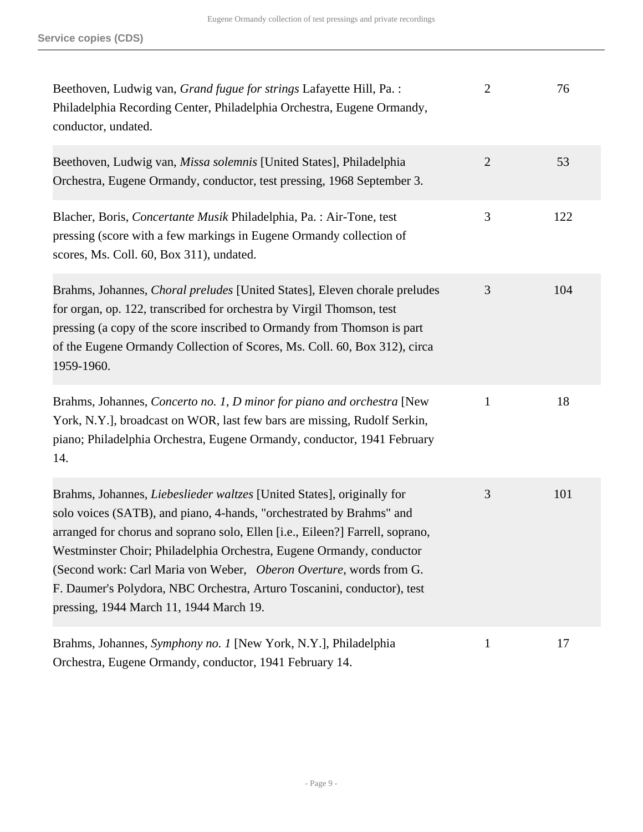| Beethoven, Ludwig van, Grand fugue for strings Lafayette Hill, Pa. :<br>Philadelphia Recording Center, Philadelphia Orchestra, Eugene Ormandy,<br>conductor, undated.                                                                                                                                                                                                                                                                                                                               | $\overline{2}$ | 76  |
|-----------------------------------------------------------------------------------------------------------------------------------------------------------------------------------------------------------------------------------------------------------------------------------------------------------------------------------------------------------------------------------------------------------------------------------------------------------------------------------------------------|----------------|-----|
| Beethoven, Ludwig van, Missa solemnis [United States], Philadelphia<br>Orchestra, Eugene Ormandy, conductor, test pressing, 1968 September 3.                                                                                                                                                                                                                                                                                                                                                       | $\overline{2}$ | 53  |
| Blacher, Boris, Concertante Musik Philadelphia, Pa.: Air-Tone, test<br>pressing (score with a few markings in Eugene Ormandy collection of<br>scores, Ms. Coll. 60, Box 311), undated.                                                                                                                                                                                                                                                                                                              | 3              | 122 |
| Brahms, Johannes, Choral preludes [United States], Eleven chorale preludes<br>for organ, op. 122, transcribed for orchestra by Virgil Thomson, test<br>pressing (a copy of the score inscribed to Ormandy from Thomson is part<br>of the Eugene Ormandy Collection of Scores, Ms. Coll. 60, Box 312), circa<br>1959-1960.                                                                                                                                                                           | 3              | 104 |
| Brahms, Johannes, Concerto no. 1, D minor for piano and orchestra [New<br>York, N.Y.], broadcast on WOR, last few bars are missing, Rudolf Serkin,<br>piano; Philadelphia Orchestra, Eugene Ormandy, conductor, 1941 February<br>14.                                                                                                                                                                                                                                                                | $\mathbf{1}$   | 18  |
| Brahms, Johannes, Liebeslieder waltzes [United States], originally for<br>solo voices (SATB), and piano, 4-hands, "orchestrated by Brahms" and<br>arranged for chorus and soprano solo, Ellen [i.e., Eileen?] Farrell, soprano,<br>Westminster Choir; Philadelphia Orchestra, Eugene Ormandy, conductor<br>(Second work: Carl Maria von Weber, Oberon Overture, words from G.<br>F. Daumer's Polydora, NBC Orchestra, Arturo Toscanini, conductor), test<br>pressing, 1944 March 11, 1944 March 19. | 3              | 101 |
| Brahms, Johannes, Symphony no. 1 [New York, N.Y.], Philadelphia<br>Orchestra, Eugene Ormandy, conductor, 1941 February 14.                                                                                                                                                                                                                                                                                                                                                                          | $\mathbf{1}$   | 17  |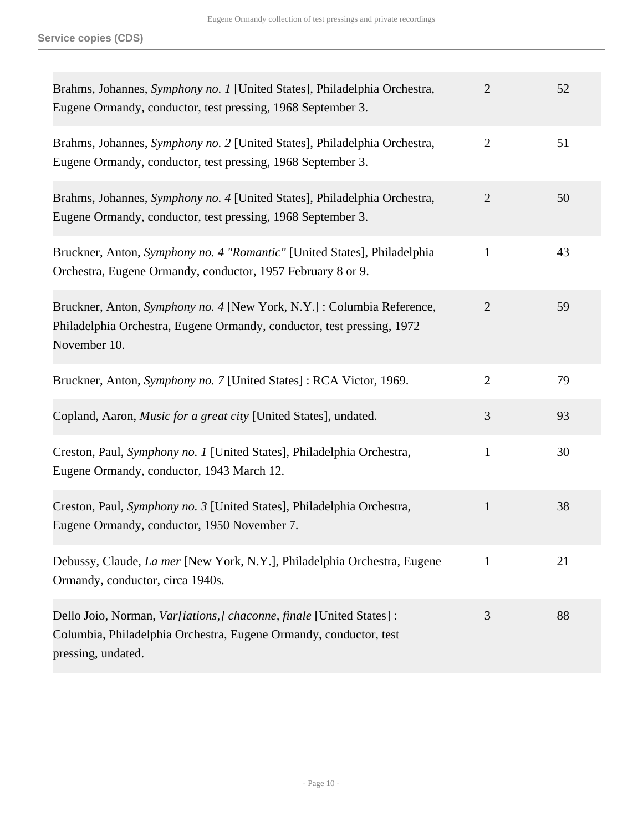| Brahms, Johannes, Symphony no. 1 [United States], Philadelphia Orchestra,<br>Eugene Ormandy, conductor, test pressing, 1968 September 3.                         | $\overline{2}$ | 52 |
|------------------------------------------------------------------------------------------------------------------------------------------------------------------|----------------|----|
| Brahms, Johannes, Symphony no. 2 [United States], Philadelphia Orchestra,<br>Eugene Ormandy, conductor, test pressing, 1968 September 3.                         | $\overline{2}$ | 51 |
| Brahms, Johannes, Symphony no. 4 [United States], Philadelphia Orchestra,<br>Eugene Ormandy, conductor, test pressing, 1968 September 3.                         | $\overline{2}$ | 50 |
| Bruckner, Anton, Symphony no. 4 "Romantic" [United States], Philadelphia<br>Orchestra, Eugene Ormandy, conductor, 1957 February 8 or 9.                          | $\mathbf{1}$   | 43 |
| Bruckner, Anton, Symphony no. 4 [New York, N.Y.] : Columbia Reference,<br>Philadelphia Orchestra, Eugene Ormandy, conductor, test pressing, 1972<br>November 10. | $\overline{2}$ | 59 |
| Bruckner, Anton, Symphony no. 7 [United States] : RCA Victor, 1969.                                                                                              | $\overline{2}$ | 79 |
| Copland, Aaron, Music for a great city [United States], undated.                                                                                                 | 3              | 93 |
| Creston, Paul, Symphony no. 1 [United States], Philadelphia Orchestra,<br>Eugene Ormandy, conductor, 1943 March 12.                                              | $\mathbf{1}$   | 30 |
| Creston, Paul, Symphony no. 3 [United States], Philadelphia Orchestra,<br>Eugene Ormandy, conductor, 1950 November 7.                                            | $\mathbf{1}$   | 38 |
| Debussy, Claude, <i>La mer</i> [New York, N.Y.], Philadelphia Orchestra, Eugene<br>Ormandy, conductor, circa 1940s.                                              | 1              | 21 |
| Dello Joio, Norman, Var[iations,] chaconne, finale [United States] :<br>Columbia, Philadelphia Orchestra, Eugene Ormandy, conductor, test<br>pressing, undated.  | 3              | 88 |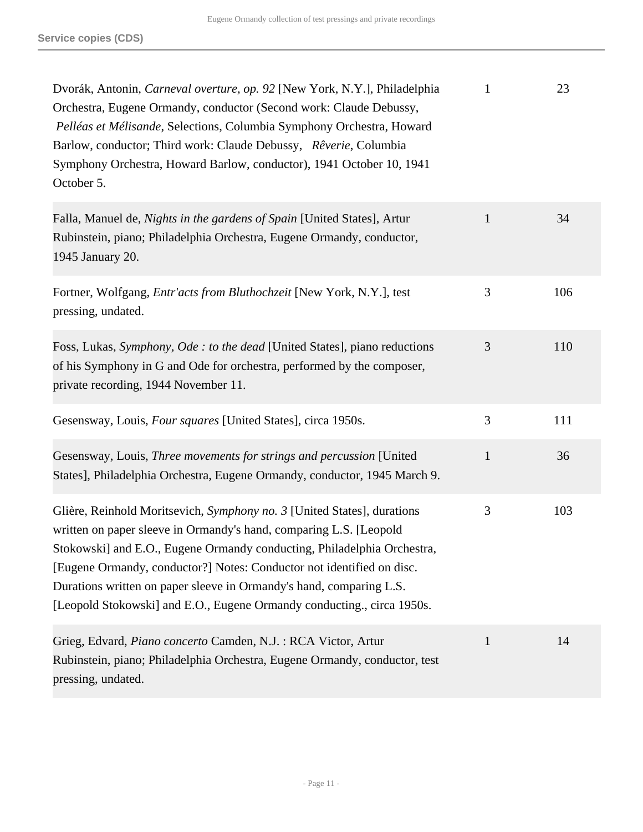| Dvorák, Antonin, Carneval overture, op. 92 [New York, N.Y.], Philadelphia<br>Orchestra, Eugene Ormandy, conductor (Second work: Claude Debussy,<br>Pelléas et Mélisande, Selections, Columbia Symphony Orchestra, Howard<br>Barlow, conductor; Third work: Claude Debussy, Rêverie, Columbia<br>Symphony Orchestra, Howard Barlow, conductor), 1941 October 10, 1941<br>October 5.                                                                 | $\mathbf{1}$   | 23  |
|----------------------------------------------------------------------------------------------------------------------------------------------------------------------------------------------------------------------------------------------------------------------------------------------------------------------------------------------------------------------------------------------------------------------------------------------------|----------------|-----|
| Falla, Manuel de, Nights in the gardens of Spain [United States], Artur<br>Rubinstein, piano; Philadelphia Orchestra, Eugene Ormandy, conductor,<br>1945 January 20.                                                                                                                                                                                                                                                                               | $\mathbf{1}$   | 34  |
| Fortner, Wolfgang, Entr'acts from Bluthochzeit [New York, N.Y.], test<br>pressing, undated.                                                                                                                                                                                                                                                                                                                                                        | 3              | 106 |
| Foss, Lukas, Symphony, Ode : to the dead [United States], piano reductions<br>of his Symphony in G and Ode for orchestra, performed by the composer,<br>private recording, 1944 November 11.                                                                                                                                                                                                                                                       | 3              | 110 |
| Gesensway, Louis, Four squares [United States], circa 1950s.                                                                                                                                                                                                                                                                                                                                                                                       | $\mathfrak{Z}$ | 111 |
| Gesensway, Louis, Three movements for strings and percussion [United]<br>States], Philadelphia Orchestra, Eugene Ormandy, conductor, 1945 March 9.                                                                                                                                                                                                                                                                                                 | $\mathbf{1}$   | 36  |
| Glière, Reinhold Moritsevich, Symphony no. 3 [United States], durations<br>written on paper sleeve in Ormandy's hand, comparing L.S. [Leopold<br>Stokowski] and E.O., Eugene Ormandy conducting, Philadelphia Orchestra,<br>[Eugene Ormandy, conductor?] Notes: Conductor not identified on disc.<br>Durations written on paper sleeve in Ormandy's hand, comparing L.S.<br>[Leopold Stokowski] and E.O., Eugene Ormandy conducting., circa 1950s. | 3              | 103 |
| Grieg, Edvard, Piano concerto Camden, N.J. : RCA Victor, Artur<br>Rubinstein, piano; Philadelphia Orchestra, Eugene Ormandy, conductor, test<br>pressing, undated.                                                                                                                                                                                                                                                                                 | $\mathbf{1}$   | 14  |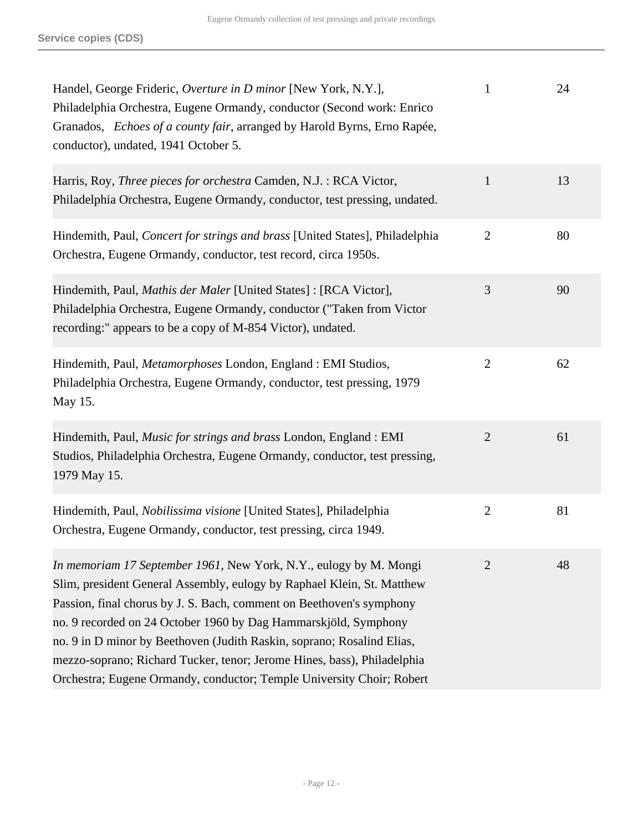| Handel, George Frideric, Overture in D minor [New York, N.Y.],<br>Philadelphia Orchestra, Eugene Ormandy, conductor (Second work: Enrico<br>Granados, Echoes of a county fair, arranged by Harold Byrns, Erno Rapée,<br>conductor), undated, 1941 October 5.                                                                                                                                                                                                                                                         | $\mathbf{1}$   | 24 |
|----------------------------------------------------------------------------------------------------------------------------------------------------------------------------------------------------------------------------------------------------------------------------------------------------------------------------------------------------------------------------------------------------------------------------------------------------------------------------------------------------------------------|----------------|----|
| Harris, Roy, Three pieces for orchestra Camden, N.J. : RCA Victor,<br>Philadelphia Orchestra, Eugene Ormandy, conductor, test pressing, undated.                                                                                                                                                                                                                                                                                                                                                                     | $\mathbf{1}$   | 13 |
| Hindemith, Paul, Concert for strings and brass [United States], Philadelphia<br>Orchestra, Eugene Ormandy, conductor, test record, circa 1950s.                                                                                                                                                                                                                                                                                                                                                                      | $\mathbf{2}$   | 80 |
| Hindemith, Paul, Mathis der Maler [United States] : [RCA Victor],<br>Philadelphia Orchestra, Eugene Ormandy, conductor ("Taken from Victor<br>recording:" appears to be a copy of M-854 Victor), undated.                                                                                                                                                                                                                                                                                                            | 3              | 90 |
| Hindemith, Paul, Metamorphoses London, England : EMI Studios,<br>Philadelphia Orchestra, Eugene Ormandy, conductor, test pressing, 1979<br>May 15.                                                                                                                                                                                                                                                                                                                                                                   | $\overline{2}$ | 62 |
| Hindemith, Paul, <i>Music for strings and brass</i> London, England : EMI<br>Studios, Philadelphia Orchestra, Eugene Ormandy, conductor, test pressing,<br>1979 May 15.                                                                                                                                                                                                                                                                                                                                              | $\overline{2}$ | 61 |
| Hindemith, Paul, Nobilissima visione [United States], Philadelphia<br>Orchestra, Eugene Ormandy, conductor, test pressing, circa 1949.                                                                                                                                                                                                                                                                                                                                                                               | $\mathbf{2}$   | 81 |
| In memoriam 17 September 1961, New York, N.Y., eulogy by M. Mongi<br>Slim, president General Assembly, eulogy by Raphael Klein, St. Matthew<br>Passion, final chorus by J. S. Bach, comment on Beethoven's symphony<br>no. 9 recorded on 24 October 1960 by Dag Hammarskjöld, Symphony<br>no. 9 in D minor by Beethoven (Judith Raskin, soprano; Rosalind Elias,<br>mezzo-soprano; Richard Tucker, tenor; Jerome Hines, bass), Philadelphia<br>Orchestra; Eugene Ormandy, conductor; Temple University Choir; Robert | $\overline{2}$ | 48 |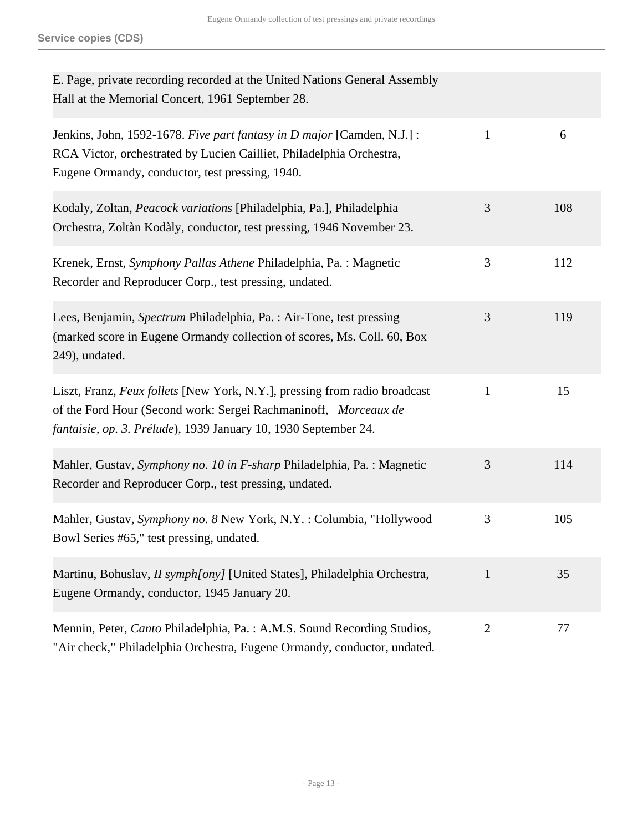| E. Page, private recording recorded at the United Nations General Assembly<br>Hall at the Memorial Concert, 1961 September 28.                                                                                   |                |     |
|------------------------------------------------------------------------------------------------------------------------------------------------------------------------------------------------------------------|----------------|-----|
| Jenkins, John, 1592-1678. Five part fantasy in D major [Camden, N.J.] :<br>RCA Victor, orchestrated by Lucien Cailliet, Philadelphia Orchestra,<br>Eugene Ormandy, conductor, test pressing, 1940.               | $\mathbf{1}$   | 6   |
| Kodaly, Zoltan, Peacock variations [Philadelphia, Pa.], Philadelphia<br>Orchestra, Zoltàn Kodàly, conductor, test pressing, 1946 November 23.                                                                    | 3              | 108 |
| Krenek, Ernst, Symphony Pallas Athene Philadelphia, Pa.: Magnetic<br>Recorder and Reproducer Corp., test pressing, undated.                                                                                      | 3              | 112 |
| Lees, Benjamin, Spectrum Philadelphia, Pa. : Air-Tone, test pressing<br>(marked score in Eugene Ormandy collection of scores, Ms. Coll. 60, Box<br>249), undated.                                                | 3              | 119 |
| Liszt, Franz, Feux follets [New York, N.Y.], pressing from radio broadcast<br>of the Ford Hour (Second work: Sergei Rachmaninoff, Morceaux de<br>fantaisie, op. 3. Prélude), 1939 January 10, 1930 September 24. | $\mathbf{1}$   | 15  |
| Mahler, Gustav, Symphony no. 10 in F-sharp Philadelphia, Pa. : Magnetic<br>Recorder and Reproducer Corp., test pressing, undated.                                                                                | 3              | 114 |
| Mahler, Gustav, Symphony no. 8 New York, N.Y.: Columbia, "Hollywood<br>Bowl Series #65," test pressing, undated.                                                                                                 | 3              | 105 |
| Martinu, Bohuslav, <i>II symph[ony]</i> [United States], Philadelphia Orchestra,<br>Eugene Ormandy, conductor, 1945 January 20.                                                                                  | $\mathbf{1}$   | 35  |
| Mennin, Peter, Canto Philadelphia, Pa. : A.M.S. Sound Recording Studios,<br>"Air check," Philadelphia Orchestra, Eugene Ormandy, conductor, undated.                                                             | $\overline{2}$ | 77  |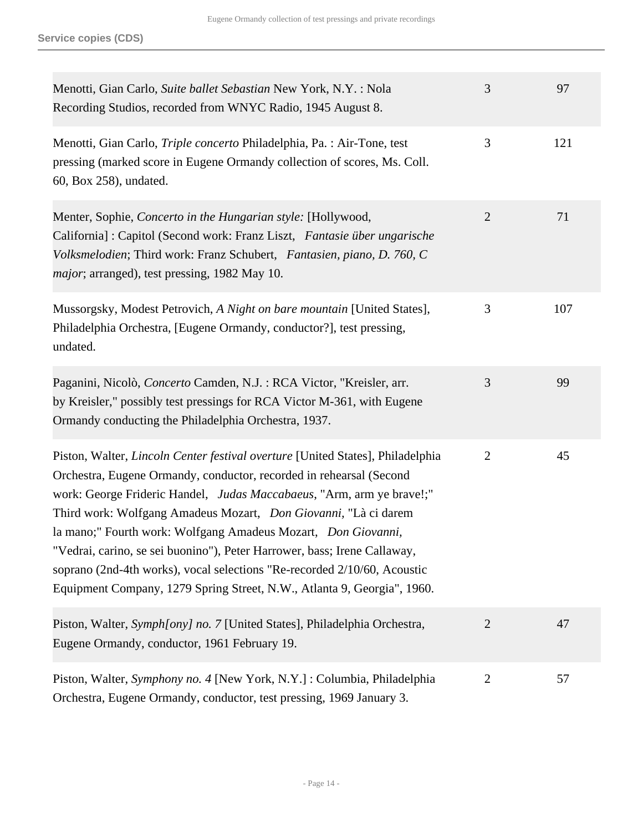| Menotti, Gian Carlo, Suite ballet Sebastian New York, N.Y.: Nola<br>Recording Studios, recorded from WNYC Radio, 1945 August 8.                                                                                                                                                                                                                                                                                                                                                                                                                                                                              | 3              | 97  |
|--------------------------------------------------------------------------------------------------------------------------------------------------------------------------------------------------------------------------------------------------------------------------------------------------------------------------------------------------------------------------------------------------------------------------------------------------------------------------------------------------------------------------------------------------------------------------------------------------------------|----------------|-----|
| Menotti, Gian Carlo, Triple concerto Philadelphia, Pa. : Air-Tone, test<br>pressing (marked score in Eugene Ormandy collection of scores, Ms. Coll.<br>60, Box 258), undated.                                                                                                                                                                                                                                                                                                                                                                                                                                | 3              | 121 |
| Menter, Sophie, Concerto in the Hungarian style: [Hollywood,<br>California] : Capitol (Second work: Franz Liszt, Fantasie über ungarische<br>Volksmelodien; Third work: Franz Schubert, Fantasien, piano, D. 760, C<br><i>major</i> ; arranged), test pressing, 1982 May 10.                                                                                                                                                                                                                                                                                                                                 | $\overline{2}$ | 71  |
| Mussorgsky, Modest Petrovich, A Night on bare mountain [United States],<br>Philadelphia Orchestra, [Eugene Ormandy, conductor?], test pressing,<br>undated.                                                                                                                                                                                                                                                                                                                                                                                                                                                  | 3              | 107 |
| Paganini, Nicolò, Concerto Camden, N.J. : RCA Victor, "Kreisler, arr.<br>by Kreisler," possibly test pressings for RCA Victor M-361, with Eugene<br>Ormandy conducting the Philadelphia Orchestra, 1937.                                                                                                                                                                                                                                                                                                                                                                                                     | 3              | 99  |
| Piston, Walter, <i>Lincoln Center festival overture</i> [United States], Philadelphia<br>Orchestra, Eugene Ormandy, conductor, recorded in rehearsal (Second<br>work: George Frideric Handel, Judas Maccabaeus, "Arm, arm ye brave!;"<br>Third work: Wolfgang Amadeus Mozart, Don Giovanni, "Là ci darem<br>la mano;" Fourth work: Wolfgang Amadeus Mozart, Don Giovanni,<br>"Vedrai, carino, se sei buonino"), Peter Harrower, bass; Irene Callaway,<br>soprano (2nd-4th works), vocal selections "Re-recorded 2/10/60, Acoustic<br>Equipment Company, 1279 Spring Street, N.W., Atlanta 9, Georgia", 1960. | $\overline{2}$ | 45  |
| Piston, Walter, Symph[ony] no. 7 [United States], Philadelphia Orchestra,<br>Eugene Ormandy, conductor, 1961 February 19.                                                                                                                                                                                                                                                                                                                                                                                                                                                                                    | $\overline{2}$ | 47  |
| Piston, Walter, Symphony no. 4 [New York, N.Y.] : Columbia, Philadelphia<br>Orchestra, Eugene Ormandy, conductor, test pressing, 1969 January 3.                                                                                                                                                                                                                                                                                                                                                                                                                                                             | $\overline{2}$ | 57  |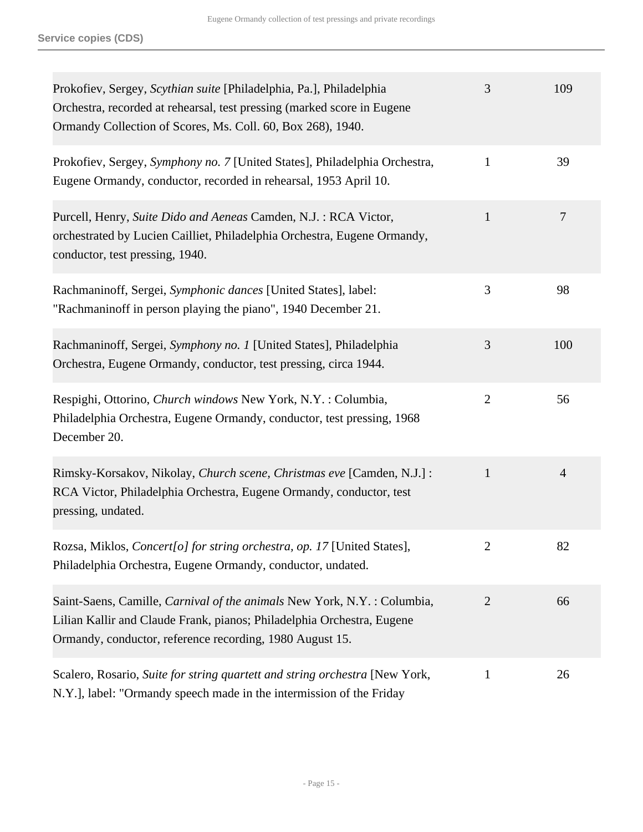| Prokofiev, Sergey, Scythian suite [Philadelphia, Pa.], Philadelphia<br>Orchestra, recorded at rehearsal, test pressing (marked score in Eugene<br>Ormandy Collection of Scores, Ms. Coll. 60, Box 268), 1940.  | 3              | 109            |
|----------------------------------------------------------------------------------------------------------------------------------------------------------------------------------------------------------------|----------------|----------------|
| Prokofiev, Sergey, Symphony no. 7 [United States], Philadelphia Orchestra,<br>Eugene Ormandy, conductor, recorded in rehearsal, 1953 April 10.                                                                 | 1              | 39             |
| Purcell, Henry, Suite Dido and Aeneas Camden, N.J.: RCA Victor,<br>orchestrated by Lucien Cailliet, Philadelphia Orchestra, Eugene Ormandy,<br>conductor, test pressing, 1940.                                 | $\mathbf{1}$   | 7              |
| Rachmaninoff, Sergei, Symphonic dances [United States], label:<br>"Rachmaninoff in person playing the piano", 1940 December 21.                                                                                | 3              | 98             |
| Rachmaninoff, Sergei, Symphony no. 1 [United States], Philadelphia<br>Orchestra, Eugene Ormandy, conductor, test pressing, circa 1944.                                                                         | 3              | 100            |
| Respighi, Ottorino, Church windows New York, N.Y. : Columbia,<br>Philadelphia Orchestra, Eugene Ormandy, conductor, test pressing, 1968<br>December 20.                                                        | $\overline{2}$ | 56             |
| Rimsky-Korsakov, Nikolay, Church scene, Christmas eve [Camden, N.J.] :<br>RCA Victor, Philadelphia Orchestra, Eugene Ormandy, conductor, test<br>pressing, undated.                                            | $\mathbf{1}$   | $\overline{4}$ |
| Rozsa, Miklos, Concert[o] for string orchestra, op. 17 [United States],<br>Philadelphia Orchestra, Eugene Ormandy, conductor, undated.                                                                         | 2              | 82             |
| Saint-Saens, Camille, Carnival of the animals New York, N.Y. : Columbia,<br>Lilian Kallir and Claude Frank, pianos; Philadelphia Orchestra, Eugene<br>Ormandy, conductor, reference recording, 1980 August 15. | $\overline{2}$ | 66             |
| Scalero, Rosario, Suite for string quartett and string orchestra [New York,<br>N.Y.], label: "Ormandy speech made in the intermission of the Friday                                                            | 1              | 26             |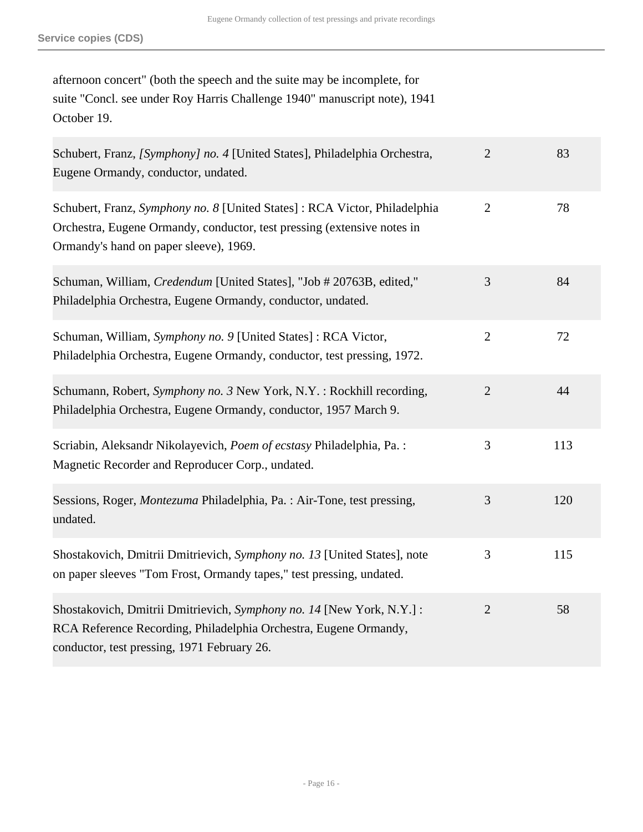| afternoon concert" (both the speech and the suite may be incomplete, for  |
|---------------------------------------------------------------------------|
| suite "Concl. see under Roy Harris Challenge 1940" manuscript note), 1941 |
| October 19.                                                               |

| Schubert, Franz, [Symphony] no. 4 [United States], Philadelphia Orchestra,<br>Eugene Ormandy, conductor, undated.                                                                              | $\overline{2}$ | 83  |
|------------------------------------------------------------------------------------------------------------------------------------------------------------------------------------------------|----------------|-----|
| Schubert, Franz, Symphony no. 8 [United States]: RCA Victor, Philadelphia<br>Orchestra, Eugene Ormandy, conductor, test pressing (extensive notes in<br>Ormandy's hand on paper sleeve), 1969. | $\overline{2}$ | 78  |
| Schuman, William, Credendum [United States], "Job # 20763B, edited,"<br>Philadelphia Orchestra, Eugene Ormandy, conductor, undated.                                                            | 3              | 84  |
| Schuman, William, Symphony no. 9 [United States] : RCA Victor,<br>Philadelphia Orchestra, Eugene Ormandy, conductor, test pressing, 1972.                                                      | $\overline{2}$ | 72  |
| Schumann, Robert, Symphony no. 3 New York, N.Y.: Rockhill recording,<br>Philadelphia Orchestra, Eugene Ormandy, conductor, 1957 March 9.                                                       | $\overline{2}$ | 44  |
| Scriabin, Aleksandr Nikolayevich, Poem of ecstasy Philadelphia, Pa.:<br>Magnetic Recorder and Reproducer Corp., undated.                                                                       | 3              | 113 |
| Sessions, Roger, Montezuma Philadelphia, Pa.: Air-Tone, test pressing,<br>undated.                                                                                                             | 3              | 120 |
| Shostakovich, Dmitrii Dmitrievich, Symphony no. 13 [United States], note<br>on paper sleeves "Tom Frost, Ormandy tapes," test pressing, undated.                                               | 3              | 115 |
| Shostakovich, Dmitrii Dmitrievich, Symphony no. 14 [New York, N.Y.] :<br>RCA Reference Recording, Philadelphia Orchestra, Eugene Ormandy,<br>conductor, test pressing, 1971 February 26.       | $\overline{2}$ | 58  |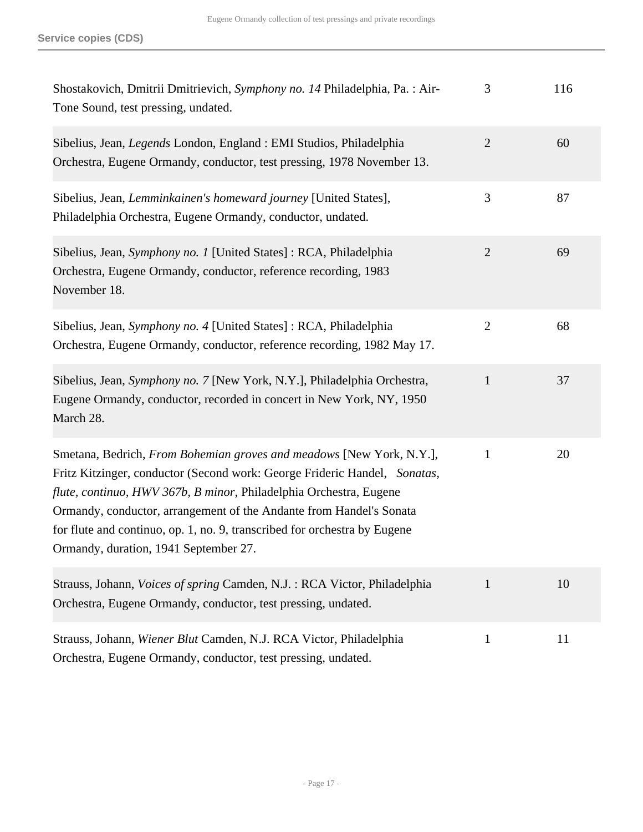| Shostakovich, Dmitrii Dmitrievich, Symphony no. 14 Philadelphia, Pa.: Air-<br>Tone Sound, test pressing, undated.                                                                                                                                                                                                                                                                                                    | 3              | 116 |
|----------------------------------------------------------------------------------------------------------------------------------------------------------------------------------------------------------------------------------------------------------------------------------------------------------------------------------------------------------------------------------------------------------------------|----------------|-----|
| Sibelius, Jean, <i>Legends</i> London, England : EMI Studios, Philadelphia<br>Orchestra, Eugene Ormandy, conductor, test pressing, 1978 November 13.                                                                                                                                                                                                                                                                 | $\overline{2}$ | 60  |
| Sibelius, Jean, Lemminkainen's homeward journey [United States],<br>Philadelphia Orchestra, Eugene Ormandy, conductor, undated.                                                                                                                                                                                                                                                                                      | 3              | 87  |
| Sibelius, Jean, Symphony no. 1 [United States]: RCA, Philadelphia<br>Orchestra, Eugene Ormandy, conductor, reference recording, 1983<br>November 18.                                                                                                                                                                                                                                                                 | $\overline{2}$ | 69  |
| Sibelius, Jean, Symphony no. 4 [United States]: RCA, Philadelphia<br>Orchestra, Eugene Ormandy, conductor, reference recording, 1982 May 17.                                                                                                                                                                                                                                                                         | $\mathbf{2}$   | 68  |
| Sibelius, Jean, Symphony no. 7 [New York, N.Y.], Philadelphia Orchestra,<br>Eugene Ormandy, conductor, recorded in concert in New York, NY, 1950<br>March 28.                                                                                                                                                                                                                                                        | $\mathbf{1}$   | 37  |
| Smetana, Bedrich, From Bohemian groves and meadows [New York, N.Y.],<br>Fritz Kitzinger, conductor (Second work: George Frideric Handel, Sonatas,<br>flute, continuo, HWV 367b, B minor, Philadelphia Orchestra, Eugene<br>Ormandy, conductor, arrangement of the Andante from Handel's Sonata<br>for flute and continuo, op. 1, no. 9, transcribed for orchestra by Eugene<br>Ormandy, duration, 1941 September 27. | $\mathbf{1}$   | 20  |
| Strauss, Johann, <i>Voices of spring Camden</i> , N.J.: RCA Victor, Philadelphia<br>Orchestra, Eugene Ormandy, conductor, test pressing, undated.                                                                                                                                                                                                                                                                    | $\mathbf{1}$   | 10  |
| Strauss, Johann, Wiener Blut Camden, N.J. RCA Victor, Philadelphia<br>Orchestra, Eugene Ormandy, conductor, test pressing, undated.                                                                                                                                                                                                                                                                                  | $\mathbf{1}$   | 11  |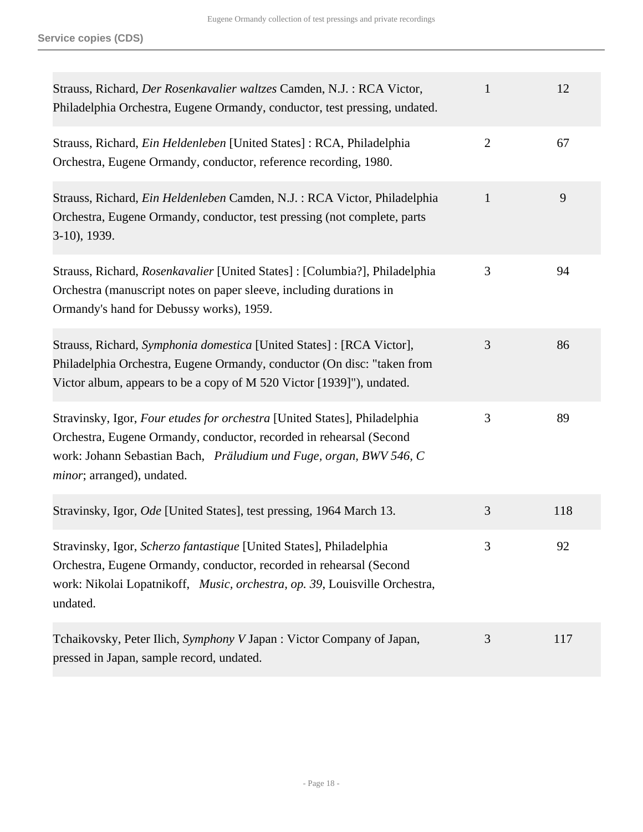| Strauss, Richard, Der Rosenkavalier waltzes Camden, N.J.: RCA Victor,<br>Philadelphia Orchestra, Eugene Ormandy, conductor, test pressing, undated.                                                                                                  | $\mathbf{1}$   | 12  |
|------------------------------------------------------------------------------------------------------------------------------------------------------------------------------------------------------------------------------------------------------|----------------|-----|
| Strauss, Richard, <i>Ein Heldenleben</i> [United States]: RCA, Philadelphia<br>Orchestra, Eugene Ormandy, conductor, reference recording, 1980.                                                                                                      | $\overline{2}$ | 67  |
| Strauss, Richard, Ein Heldenleben Camden, N.J.: RCA Victor, Philadelphia<br>Orchestra, Eugene Ormandy, conductor, test pressing (not complete, parts<br>3-10), 1939.                                                                                 | $\mathbf{1}$   | 9   |
| Strauss, Richard, Rosenkavalier [United States]: [Columbia?], Philadelphia<br>Orchestra (manuscript notes on paper sleeve, including durations in<br>Ormandy's hand for Debussy works), 1959.                                                        | 3              | 94  |
| Strauss, Richard, Symphonia domestica [United States] : [RCA Victor],<br>Philadelphia Orchestra, Eugene Ormandy, conductor (On disc: "taken from<br>Victor album, appears to be a copy of M 520 Victor [1939]"), undated.                            | 3              | 86  |
| Stravinsky, Igor, Four etudes for orchestra [United States], Philadelphia<br>Orchestra, Eugene Ormandy, conductor, recorded in rehearsal (Second<br>work: Johann Sebastian Bach, Präludium und Fuge, organ, BWV 546, C<br>minor; arranged), undated. | 3              | 89  |
| Stravinsky, Igor, Ode [United States], test pressing, 1964 March 13.                                                                                                                                                                                 | 3              | 118 |
| Stravinsky, Igor, Scherzo fantastique [United States], Philadelphia<br>Orchestra, Eugene Ormandy, conductor, recorded in rehearsal (Second<br>work: Nikolai Lopatnikoff, Music, orchestra, op. 39, Louisville Orchestra,<br>undated.                 | 3              | 92  |
| Tchaikovsky, Peter Ilich, Symphony V Japan : Victor Company of Japan,<br>pressed in Japan, sample record, undated.                                                                                                                                   | 3              | 117 |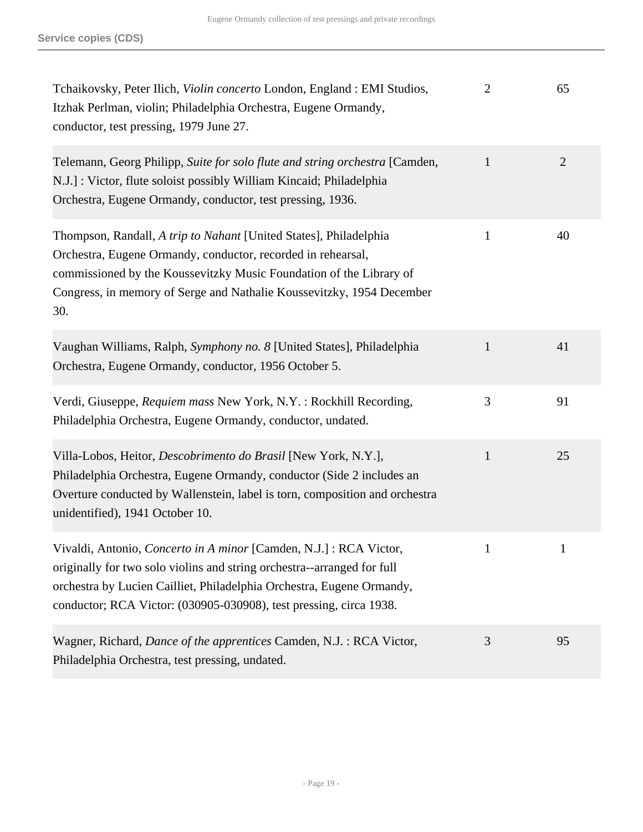| Tchaikovsky, Peter Ilich, Violin concerto London, England : EMI Studios,<br>Itzhak Perlman, violin; Philadelphia Orchestra, Eugene Ormandy,<br>conductor, test pressing, 1979 June 27.                                                                                                       | $\overline{2}$ | 65             |
|----------------------------------------------------------------------------------------------------------------------------------------------------------------------------------------------------------------------------------------------------------------------------------------------|----------------|----------------|
| Telemann, Georg Philipp, Suite for solo flute and string orchestra [Camden,<br>N.J.]: Victor, flute soloist possibly William Kincaid; Philadelphia<br>Orchestra, Eugene Ormandy, conductor, test pressing, 1936.                                                                             | $\mathbf{1}$   | $\overline{2}$ |
| Thompson, Randall, A trip to Nahant [United States], Philadelphia<br>Orchestra, Eugene Ormandy, conductor, recorded in rehearsal,<br>commissioned by the Koussevitzky Music Foundation of the Library of<br>Congress, in memory of Serge and Nathalie Koussevitzky, 1954 December<br>30.     | $\mathbf{1}$   | 40             |
| Vaughan Williams, Ralph, Symphony no. 8 [United States], Philadelphia<br>Orchestra, Eugene Ormandy, conductor, 1956 October 5.                                                                                                                                                               | $\mathbf{1}$   | 41             |
| Verdi, Giuseppe, Requiem mass New York, N.Y. : Rockhill Recording,<br>Philadelphia Orchestra, Eugene Ormandy, conductor, undated.                                                                                                                                                            | 3              | 91             |
| Villa-Lobos, Heitor, Descobrimento do Brasil [New York, N.Y.],<br>Philadelphia Orchestra, Eugene Ormandy, conductor (Side 2 includes an<br>Overture conducted by Wallenstein, label is torn, composition and orchestra<br>unidentified), 1941 October 10.                                    | $\mathbf{1}$   | 25             |
| Vivaldi, Antonio, Concerto in A minor [Camden, N.J.] : RCA Victor,<br>originally for two solo violins and string orchestra--arranged for full<br>orchestra by Lucien Cailliet, Philadelphia Orchestra, Eugene Ormandy,<br>conductor; RCA Victor: (030905-030908), test pressing, circa 1938. |                | $\mathbf{1}$   |
| Wagner, Richard, Dance of the apprentices Camden, N.J.: RCA Victor,<br>Philadelphia Orchestra, test pressing, undated.                                                                                                                                                                       | 3              | 95             |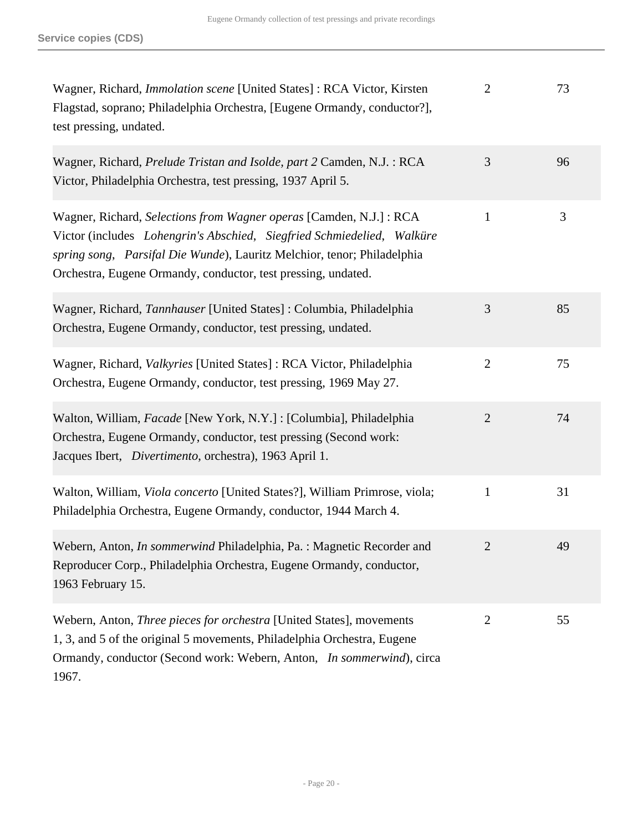| Wagner, Richard, <i>Immolation scene</i> [United States]: RCA Victor, Kirsten<br>Flagstad, soprano; Philadelphia Orchestra, [Eugene Ormandy, conductor?],<br>test pressing, undated.                                                                                                      | $\overline{2}$ | 73 |
|-------------------------------------------------------------------------------------------------------------------------------------------------------------------------------------------------------------------------------------------------------------------------------------------|----------------|----|
| Wagner, Richard, Prelude Tristan and Isolde, part 2 Camden, N.J.: RCA<br>Victor, Philadelphia Orchestra, test pressing, 1937 April 5.                                                                                                                                                     | 3              | 96 |
| Wagner, Richard, Selections from Wagner operas [Camden, N.J.] : RCA<br>Victor (includes Lohengrin's Abschied, Siegfried Schmiedelied, Walküre<br>spring song, Parsifal Die Wunde), Lauritz Melchior, tenor; Philadelphia<br>Orchestra, Eugene Ormandy, conductor, test pressing, undated. | $\mathbf{1}$   | 3  |
| Wagner, Richard, Tannhauser [United States]: Columbia, Philadelphia<br>Orchestra, Eugene Ormandy, conductor, test pressing, undated.                                                                                                                                                      | 3              | 85 |
| Wagner, Richard, Valkyries [United States]: RCA Victor, Philadelphia<br>Orchestra, Eugene Ormandy, conductor, test pressing, 1969 May 27.                                                                                                                                                 | $\overline{2}$ | 75 |
| Walton, William, Facade [New York, N.Y.] : [Columbia], Philadelphia<br>Orchestra, Eugene Ormandy, conductor, test pressing (Second work:<br>Jacques Ibert, <i>Divertimento</i> , orchestra), 1963 April 1.                                                                                | $\overline{2}$ | 74 |
| Walton, William, Viola concerto [United States?], William Primrose, viola;<br>Philadelphia Orchestra, Eugene Ormandy, conductor, 1944 March 4.                                                                                                                                            | $\mathbf{1}$   | 31 |
| Webern, Anton, <i>In sommerwind</i> Philadelphia, Pa.: Magnetic Recorder and<br>Reproducer Corp., Philadelphia Orchestra, Eugene Ormandy, conductor,<br>1963 February 15.                                                                                                                 |                | 49 |
| Webern, Anton, Three pieces for orchestra [United States], movements<br>1, 3, and 5 of the original 5 movements, Philadelphia Orchestra, Eugene<br>Ormandy, conductor (Second work: Webern, Anton, In sommerwind), circa<br>1967.                                                         | $\overline{2}$ | 55 |